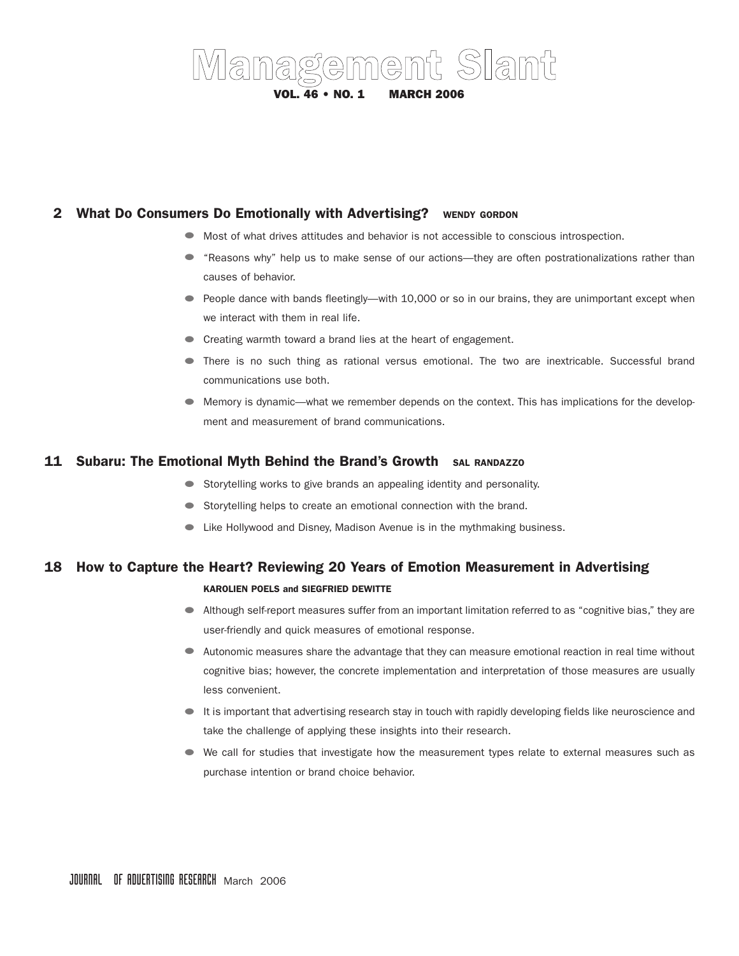# Management Slant VOL. 46 • NO. 1 MARCH 2006

## 2 What Do Consumers Do Emotionally with Advertising? WENDY GORDON

- Most of what drives attitudes and behavior is not accessible to conscious introspection.
- "Reasons why" help us to make sense of our actions—they are often postrationalizations rather than causes of behavior.
- People dance with bands fleetingly—with 10,000 or so in our brains, they are unimportant except when we interact with them in real life.
- Creating warmth toward a brand lies at the heart of engagement.
- There is no such thing as rational versus emotional. The two are inextricable. Successful brand communications use both.
- Memory is dynamic—what we remember depends on the context. This has implications for the development and measurement of brand communications.

## 11 Subaru: The Emotional Myth Behind the Brand's Growth SAL RANDAZZO

- Storytelling works to give brands an appealing identity and personality.
- Storytelling helps to create an emotional connection with the brand.
- Like Hollywood and Disney, Madison Avenue is in the mythmaking business.

# 18 How to Capture the Heart? Reviewing 20 Years of Emotion Measurement in Advertising

#### KAROLIEN POELS and SIEGFRIED DEWITTE

- Although self-report measures suffer from an important limitation referred to as "cognitive bias," they are user-friendly and quick measures of emotional response.
- Autonomic measures share the advantage that they can measure emotional reaction in real time without cognitive bias; however, the concrete implementation and interpretation of those measures are usually less convenient.
- It is important that advertising research stay in touch with rapidly developing fields like neuroscience and take the challenge of applying these insights into their research.
- We call for studies that investigate how the measurement types relate to external measures such as purchase intention or brand choice behavior.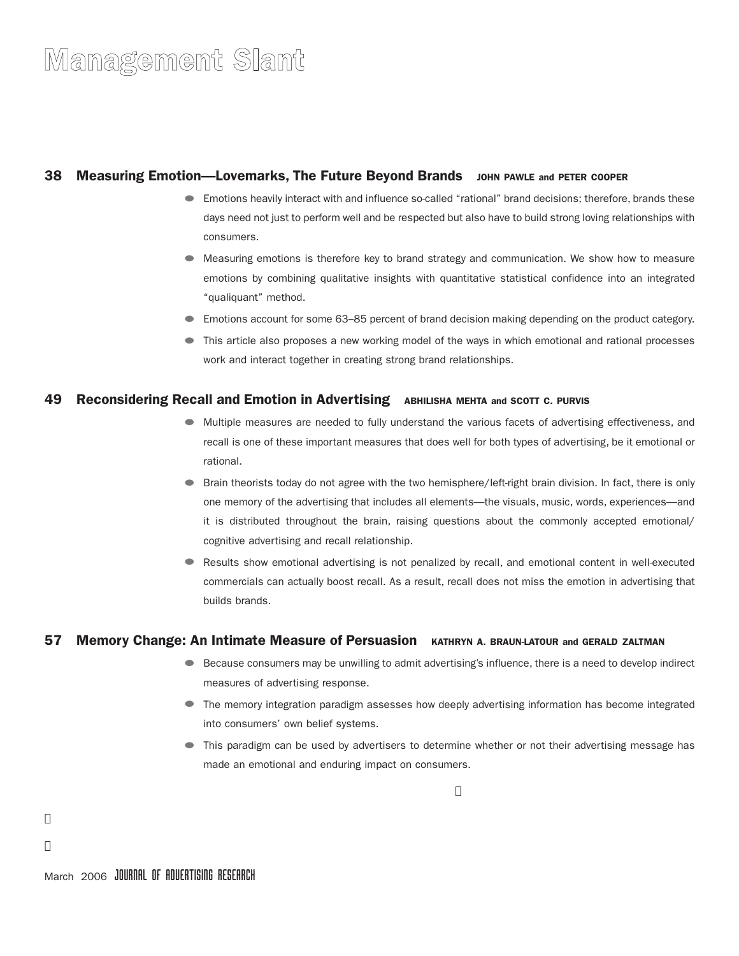## **38 Measuring Emotion—Lovemarks, The Future Beyond Brands** JOHN PAWLE and PETER COOPER

- Emotions heavily interact with and influence so-called "rational" brand decisions; therefore, brands these days need not just to perform well and be respected but also have to build strong loving relationships with consumers.
- Measuring emotions is therefore key to brand strategy and communication. We show how to measure emotions by combining qualitative insights with quantitative statistical confidence into an integrated "qualiquant" method.
- Emotions account for some 63–85 percent of brand decision making depending on the product category.
- This article also proposes a new working model of the ways in which emotional and rational processes work and interact together in creating strong brand relationships.

#### 49 Reconsidering Recall and Emotion in Advertising ABHILISHA MEHTA and SCOTT C. PURVIS

- Multiple measures are needed to fully understand the various facets of advertising effectiveness, and recall is one of these important measures that does well for both types of advertising, be it emotional or rational.
- Brain theorists today do not agree with the two hemisphere/left-right brain division. In fact, there is only one memory of the advertising that includes all elements—the visuals, music, words, experiences—and it is distributed throughout the brain, raising questions about the commonly accepted emotional/ cognitive advertising and recall relationship.
- Results show emotional advertising is not penalized by recall, and emotional content in well-executed commercials can actually boost recall. As a result, recall does not miss the emotion in advertising that builds brands.

### 57 Memory Change: An Intimate Measure of Persuasion KATHRYN A. BRAUN-LATOUR and GERALD ZALTMAN

- Because consumers may be unwilling to admit advertising's influence, there is a need to develop indirect measures of advertising response.
- The memory integration paradigm assesses how deeply advertising information has become integrated into consumers' own belief systems.
- This paradigm can be used by advertisers to determine whether or not their advertising message has made an emotional and enduring impact on consumers.

j

j

j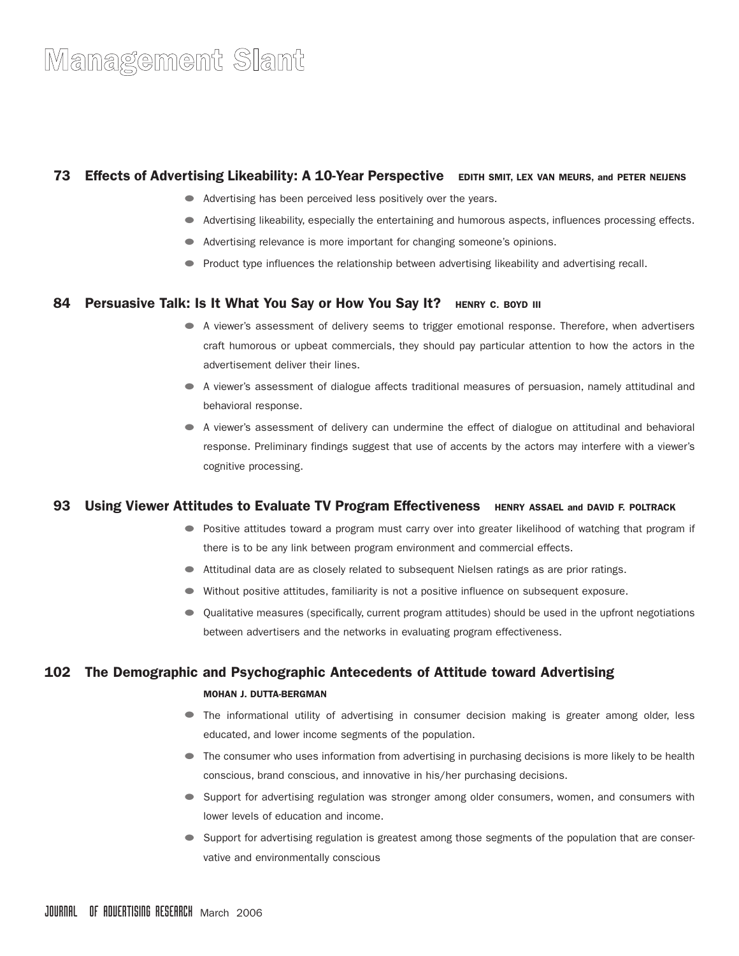## 73 Effects of Advertising Likeability: A 10-Year Perspective EDITH SMIT, LEX VAN MEURS, and PETER NEIJENS

- Advertising has been perceived less positively over the years.
- Advertising likeability, especially the entertaining and humorous aspects, influences processing effects.
- Advertising relevance is more important for changing someone's opinions.
- Product type influences the relationship between advertising likeability and advertising recall.

#### 84 Persuasive Talk: Is It What You Say or How You Say It? HENRY C. BOYD III

- A viewer's assessment of delivery seems to trigger emotional response. Therefore, when advertisers craft humorous or upbeat commercials, they should pay particular attention to how the actors in the advertisement deliver their lines.
- A viewer's assessment of dialogue affects traditional measures of persuasion, namely attitudinal and behavioral response.
- A viewer's assessment of delivery can undermine the effect of dialogue on attitudinal and behavioral response. Preliminary findings suggest that use of accents by the actors may interfere with a viewer's cognitive processing.

### 93 Using Viewer Attitudes to Evaluate TV Program Effectiveness HENRY ASSAEL and DAVID F. POLTRACK

- Positive attitudes toward a program must carry over into greater likelihood of watching that program if there is to be any link between program environment and commercial effects.
- Attitudinal data are as closely related to subsequent Nielsen ratings as are prior ratings.
- Without positive attitudes, familiarity is not a positive influence on subsequent exposure.
- Qualitative measures (specifically, current program attitudes) should be used in the upfront negotiations between advertisers and the networks in evaluating program effectiveness.

### 102 The Demographic and Psychographic Antecedents of Attitude toward Advertising

#### MOHAN J. DUTTA-BERGMAN

- The informational utility of advertising in consumer decision making is greater among older, less educated, and lower income segments of the population.
- The consumer who uses information from advertising in purchasing decisions is more likely to be health conscious, brand conscious, and innovative in his/her purchasing decisions.
- Support for advertising regulation was stronger among older consumers, women, and consumers with lower levels of education and income.
- Support for advertising regulation is greatest among those segments of the population that are conservative and environmentally conscious